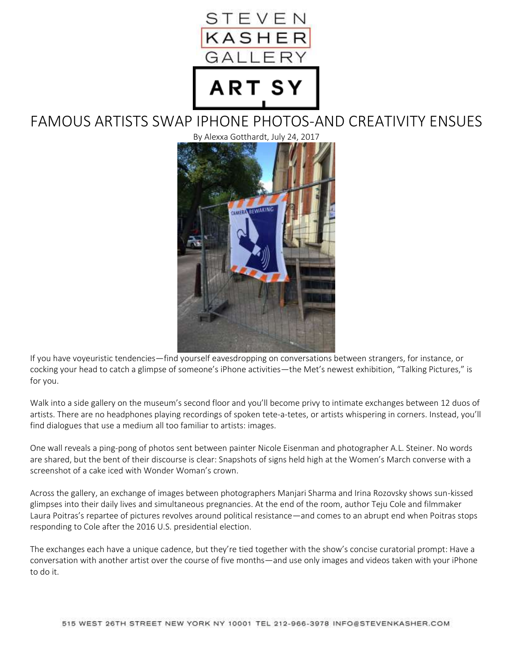

## FAMOUS ARTISTS SWAP IPHONE PHOTOS-AND CREATIVITY ENSUES



If you have voyeuristic tendencies—find yourself eavesdropping on conversations between strangers, for instance, or cocking your head to catch a glimpse of someone's iPhone activities—the Met's newest exhibition, "Talking Pictures," is for you.

Walk into a side gallery on the museum's second floor and you'll become privy to intimate exchanges between 12 duos of artists. There are no headphones playing recordings of spoken tete-a-tetes, or artists whispering in corners. Instead, you'll find dialogues that use a medium all too familiar to artists: images.

One wall reveals a ping-pong of photos sent between painter Nicole Eisenman and photographer A.L. Steiner. No words are shared, but the bent of their discourse is clear: Snapshots of signs held high at the Women's March converse with a screenshot of a cake iced with Wonder Woman's crown.

Across the gallery, an exchange of images between photographers Manjari Sharma and Irina Rozovsky shows sun-kissed glimpses into their daily lives and simultaneous pregnancies. At the end of the room, author Teju Cole and filmmaker Laura Poitras's repartee of pictures revolves around political resistance—and comes to an abrupt end when Poitras stops responding to Cole after the 2016 U.S. presidential election.

The exchanges each have a unique cadence, but they're tied together with the show's concise curatorial prompt: Have a conversation with another artist over the course of five months—and use only images and videos taken with your iPhone to do it.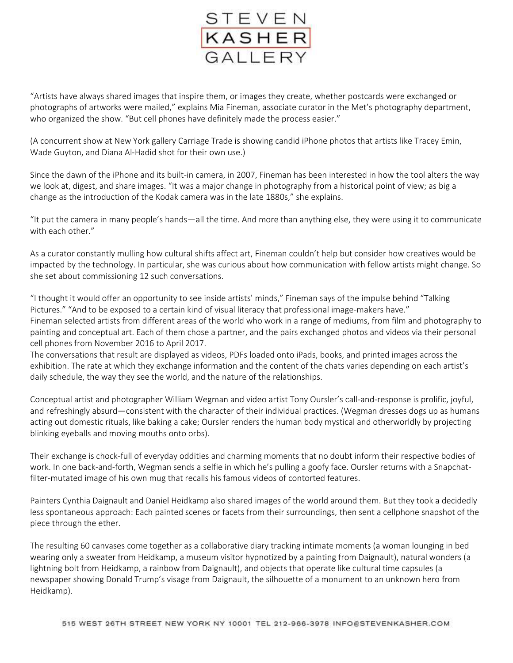

"Artists have always shared images that inspire them, or images they create, whether postcards were exchanged or photographs of artworks were mailed," explains Mia Fineman, associate curator in the Met's photography department, who organized the show. "But cell phones have definitely made the process easier."

(A concurrent show at New York gallery Carriage Trade is showing candid iPhone photos that artists like Tracey Emin, Wade Guyton, and Diana Al-Hadid shot for their own use.)

Since the dawn of the iPhone and its built-in camera, in 2007, Fineman has been interested in how the tool alters the way we look at, digest, and share images. "It was a major change in photography from a historical point of view; as big a change as the introduction of the Kodak camera was in the late 1880s," she explains.

"It put the camera in many people's hands—all the time. And more than anything else, they were using it to communicate with each other."

As a curator constantly mulling how cultural shifts affect art, Fineman couldn't help but consider how creatives would be impacted by the technology. In particular, she was curious about how communication with fellow artists might change. So she set about commissioning 12 such conversations.

"I thought it would offer an opportunity to see inside artists' minds," Fineman says of the impulse behind "Talking Pictures." "And to be exposed to a certain kind of visual literacy that professional image-makers have." Fineman selected artists from different areas of the world who work in a range of mediums, from film and photography to painting and conceptual art. Each of them chose a partner, and the pairs exchanged photos and videos via their personal cell phones from November 2016 to April 2017.

The conversations that result are displayed as videos, PDFs loaded onto iPads, books, and printed images across the exhibition. The rate at which they exchange information and the content of the chats varies depending on each artist's daily schedule, the way they see the world, and the nature of the relationships.

Conceptual artist and photographer William Wegman and video artist Tony Oursler's call-and-response is prolific, joyful, and refreshingly absurd—consistent with the character of their individual practices. (Wegman dresses dogs up as humans acting out domestic rituals, like baking a cake; Oursler renders the human body mystical and otherworldly by projecting blinking eyeballs and moving mouths onto orbs).

Their exchange is chock-full of everyday oddities and charming moments that no doubt inform their respective bodies of work. In one back-and-forth, Wegman sends a selfie in which he's pulling a goofy face. Oursler returns with a Snapchatfilter-mutated image of his own mug that recalls his famous videos of contorted features.

Painters Cynthia Daignault and Daniel Heidkamp also shared images of the world around them. But they took a decidedly less spontaneous approach: Each painted scenes or facets from their surroundings, then sent a cellphone snapshot of the piece through the ether.

The resulting 60 canvases come together as a collaborative diary tracking intimate moments (a woman lounging in bed wearing only a sweater from Heidkamp, a museum visitor hypnotized by a painting from Daignault), natural wonders (a lightning bolt from Heidkamp, a rainbow from Daignault), and objects that operate like cultural time capsules (a newspaper showing Donald Trump's visage from Daignault, the silhouette of a monument to an unknown hero from Heidkamp).